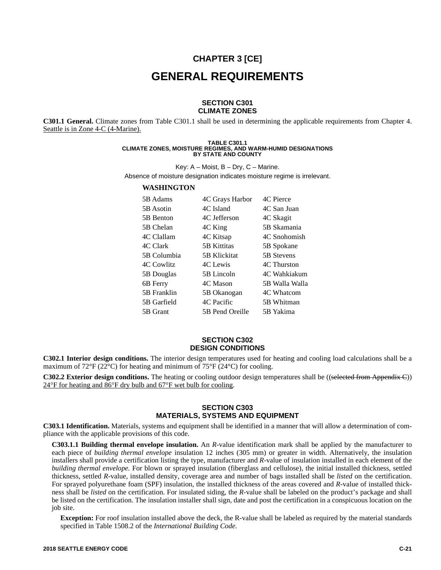# **CHAPTER 3 [CE] GENERAL REQUIREMENTS**

#### **SECTION C301 CLIMATE ZONES**

**C301.1 General.** Climate zones from Table C301.1 shall be used in determining the applicable requirements from Chapter 4. Seattle is in Zone 4-C (4-Marine).

#### **TABLE C301.1 CLIMATE ZONES, MOISTURE REGIMES, AND WARM-HUMID DESIGNATIONS BY STATE AND COUNTY**

Key:  $A -$  Moist,  $B -$  Dry,  $C -$  Marine.

Absence of moisture designation indicates moisture regime is irrelevant.

#### **WASHINGTON**

| 5B Adams    | 4C Grays Harbor | 4C Pierce      |
|-------------|-----------------|----------------|
| 5B Asotin   | 4C Island       | 4C San Juan    |
| 5B Benton   | 4C Jefferson    | 4C Skagit      |
| 5B Chelan   | 4C King         | 5B Skamania    |
| 4C Clallam  | 4C Kitsap       | 4C Snohomish   |
| 4C Clark    | 5B Kittitas     | 5B Spokane     |
| 5B Columbia | 5B Klickitat    | 5B Stevens     |
| 4C Cowlitz  | 4C Lewis        | 4C Thurston    |
| 5B Douglas  | 5B Lincoln      | 4C Wahkiakum   |
| 6B Ferry    | 4C Mason        | 5B Walla Walla |
| 5B Franklin | 5B Okanogan     | 4C Whatcom     |
| 5B Garfield | 4C Pacific      | 5B Whitman     |
| 5B Grant    | 5B Pend Oreille | 5B Yakima      |

#### **SECTION C302 DESIGN CONDITIONS**

**C302.1 Interior design conditions.** The interior design temperatures used for heating and cooling load calculations shall be a maximum of  $72^{\circ}F(22^{\circ}C)$  for heating and minimum of  $75^{\circ}F(24^{\circ}C)$  for cooling.

**C302.2 Exterior design conditions.** The heating or cooling outdoor design temperatures shall be ((selected from Appendix C))  $24^{\circ}$ F for heating and  $86^{\circ}$ F dry bulb and  $67^{\circ}$ F wet bulb for cooling.

# **SECTION C303 MATERIALS, SYSTEMS AND EQUIPMENT**

**C303.1 Identification.** Materials, systems and equipment shall be identified in a manner that will allow a determination of compliance with the applicable provisions of this code.

**C303.1.1 Building thermal envelope insulation.** An *R-*value identification mark shall be applied by the manufacturer to each piece of *building thermal envelope* insulation 12 inches (305 mm) or greater in width. Alternatively, the insulation installers shall provide a certification listing the type, manufacturer and *R-*value of insulation installed in each element of the *building thermal envelope.* For blown or sprayed insulation (fiberglass and cellulose), the initial installed thickness, settled thickness, settled *R-*value, installed density, coverage area and number of bags installed shall be *listed* on the certification. For sprayed polyurethane foam (SPF) insulation, the installed thickness of the areas covered and *R-*value of installed thickness shall be *listed* on the certification. For insulated siding, the *R-*value shall be labeled on the product's package and shall be listed on the certification. The insulation installer shall sign, date and post the certification in a conspicuous location on the job site.

**Exception:** For roof insulation installed above the deck, the R-value shall be labeled as required by the material standards specified in Table 1508.2 of the *International Building Code.*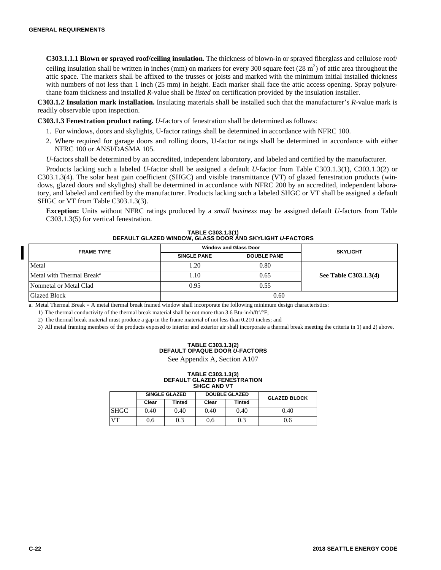**C303.1.1.1 Blown or sprayed roof/ceiling insulation.** The thickness of blown-in or sprayed fiberglass and cellulose roof/ ceiling insulation shall be written in inches (mm) on markers for every 300 square feet  $(28 \text{ m}^2)$  of attic area throughout the attic space. The markers shall be affixed to the trusses or joists and marked with the minimum initial installed thickness with numbers of not less than 1 inch (25 mm) in height. Each marker shall face the attic access opening. Spray polyurethane foam thickness and installed *R-*value shall be *listed* on certification provided by the insulation installer.

**C303.1.2 Insulation mark installation.** Insulating materials shall be installed such that the manufacturer's *R*-value mark is readily observable upon inspection.

**C303.1.3 Fenestration product rating.** *U-*factors of fenestration shall be determined as follows:

- 1. For windows, doors and skylights, U-factor ratings shall be determined in accordance with NFRC 100.
- 2. Where required for garage doors and rolling doors, U-factor ratings shall be determined in accordance with either NFRC 100 or ANSI/DASMA 105.
- *U-*factors shall be determined by an accredited, independent laboratory, and labeled and certified by the manufacturer.

Products lacking such a labeled *U-*factor shall be assigned a default *U-*factor from Table C303.1.3(1), C303.1.3(2) or C303.1.3(4). The solar heat gain coefficient (SHGC) and visible transmittance (VT) of glazed fenestration products (windows, glazed doors and skylights) shall be determined in accordance with NFRC 200 by an accredited, independent laboratory, and labeled and certified by the manufacturer. Products lacking such a labeled SHGC or VT shall be assigned a default SHGC or VT from Table C303.1.3(3).

**Exception:** Units without NFRC ratings produced by a *small business* may be assigned default *U-*factors from Table C303.1.3(5) for vertical fenestration.

| TABLE C303.1.3(1)                                                |
|------------------------------------------------------------------|
| DEFAULT GLAZED WINDOW, GLASS DOOR AND SKYLIGHT <i>U-</i> FACTORS |

| <b>FRAME TYPE</b>                     |                    | <b>Window and Glass Door</b> | <b>SKYLIGHT</b>       |  |
|---------------------------------------|--------------------|------------------------------|-----------------------|--|
|                                       | <b>SINGLE PANE</b> | <b>DOUBLE PANE</b>           |                       |  |
| Metal                                 | 1.20               | 0.80                         |                       |  |
| Metal with Thermal Break <sup>a</sup> | 1.10               | 0.65                         | See Table C303.1.3(4) |  |
| Nonmetal or Metal Clad                | 0.95               | 0.55                         |                       |  |
| <b>Glazed Block</b>                   | 0.60               |                              |                       |  |

a. Metal Thermal Break = A metal thermal break framed window shall incorporate the following minimum design characteristics:

1) The thermal conductivity of the thermal break material shall be not more than 3.6 Btu-in/h/ft<sup>2</sup>/°F;

2) The thermal break material must produce a gap in the frame material of not less than 0.210 inches; and

3) All metal framing members of the products exposed to interior and exterior air shall incorporate a thermal break meeting the criteria in 1) and 2) above.

#### **TABLE C303.1.3(2) DEFAULT OPAQUE DOOR** *U-***FACTORS**

See Appendix A, Section A107

# **TABLE C303.1.3(3) DEFAULT GLAZED FENESTRATION SHGC AND VT**

|             |       | <b>SINGLE GLAZED</b> |       | <b>DOUBLE GLAZED</b> | <b>GLAZED BLOCK</b> |  |
|-------------|-------|----------------------|-------|----------------------|---------------------|--|
|             | Clear | <b>Tinted</b>        | Clear | <b>Tinted</b>        |                     |  |
| <b>SHGC</b> | 0.40  | 0.40                 | 0.40  | 0.40                 | 0.40                |  |
| VT          | 0.6   | 0.3                  | 0.6   | 0.3                  | 0.6                 |  |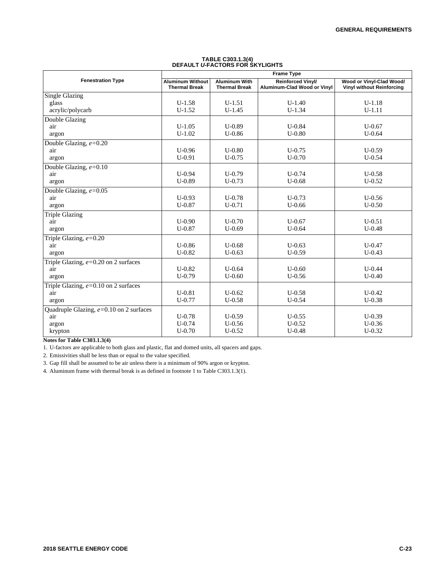|                                           | <b>Frame Type</b>                               |                                              |                                                         |                                                              |  |  |  |
|-------------------------------------------|-------------------------------------------------|----------------------------------------------|---------------------------------------------------------|--------------------------------------------------------------|--|--|--|
| <b>Fenestration Type</b>                  | <b>Aluminum Without</b><br><b>Thermal Break</b> | <b>Aluminum With</b><br><b>Thermal Break</b> | <b>Reinforced Vinyl/</b><br>Aluminum-Clad Wood or Vinyl | Wood or Vinyl-Clad Wood/<br><b>Vinyl without Reinforcing</b> |  |  |  |
| <b>Single Glazing</b>                     |                                                 |                                              |                                                         |                                                              |  |  |  |
| glass                                     | $U-1.58$                                        | $U-1.51$                                     | $U-1.40$                                                | $U-1.18$                                                     |  |  |  |
| acrylic/polycarb                          | $U-1.52$                                        | $U-1.45$                                     | $U-1.34$                                                | $U-1.11$                                                     |  |  |  |
| Double Glazing                            |                                                 |                                              |                                                         |                                                              |  |  |  |
| air                                       | $U-1.05$                                        | $U-0.89$                                     | $U - 0.84$                                              | $U - 0.67$                                                   |  |  |  |
| argon                                     | $U-1.02$                                        | $U - 0.86$                                   | $U-0.80$                                                | $U - 0.64$                                                   |  |  |  |
| Double Glazing, $e = 0.20$                |                                                 |                                              |                                                         |                                                              |  |  |  |
| air                                       | $U - 0.96$                                      | $U - 0.80$                                   | $U - 0.75$                                              | $U-0.59$                                                     |  |  |  |
| argon                                     | $U-0.91$                                        | $U - 0.75$                                   | $U-0.70$                                                | $U - 0.54$                                                   |  |  |  |
| Double Glazing, $e=0.10$                  |                                                 |                                              |                                                         |                                                              |  |  |  |
| air                                       | $U - 0.94$                                      | $U-0.79$                                     | $U - 0.74$                                              | $U - 0.58$                                                   |  |  |  |
| argon                                     | $U-0.89$                                        | $U-0.73$                                     | $U - 0.68$                                              | $U-0.52$                                                     |  |  |  |
| Double Glazing, $e = 0.05$                |                                                 |                                              |                                                         |                                                              |  |  |  |
| air                                       | $U - 0.93$                                      | $U - 0.78$                                   | $U - 0.73$                                              | $U - 0.56$                                                   |  |  |  |
| argon                                     | $U-0.87$                                        | $U-0.71$                                     | $U - 0.66$                                              | $U - 0.50$                                                   |  |  |  |
| <b>Triple Glazing</b>                     |                                                 |                                              |                                                         |                                                              |  |  |  |
| air                                       | $U-0.90$                                        | $U - 0.70$                                   | $U - 0.67$                                              | $U - 0.51$                                                   |  |  |  |
| argon                                     | $U - 0.87$                                      | $U-0.69$                                     | $U - 0.64$                                              | $U - 0.48$                                                   |  |  |  |
| Triple Glazing, $e=0.20$                  |                                                 |                                              |                                                         |                                                              |  |  |  |
| air                                       | $U - 0.86$                                      | $U - 0.68$                                   | $U-0.63$                                                | $U - 0.47$                                                   |  |  |  |
| argon                                     | $U-0.82$                                        | $U - 0.63$                                   | $U-0.59$                                                | $U - 0.43$                                                   |  |  |  |
| Triple Glazing, $e=0.20$ on 2 surfaces    |                                                 |                                              |                                                         |                                                              |  |  |  |
| air                                       | $U-0.82$                                        | $U-0.64$                                     | $U - 0.60$                                              | $U - 0.44$                                                   |  |  |  |
| argon                                     | $U-0.79$                                        | $U - 0.60$                                   | $U - 0.56$                                              | $U - 0.40$                                                   |  |  |  |
| Triple Glazing, $e=0.10$ on 2 surfaces    |                                                 |                                              |                                                         |                                                              |  |  |  |
| air                                       | $U - 0.81$                                      | $U - 0.62$                                   | $U - 0.58$                                              | $U - 0.42$                                                   |  |  |  |
| argon                                     | $U-0.77$                                        | $U - 0.58$                                   | $U - 0.54$                                              | $U - 0.38$                                                   |  |  |  |
| Quadruple Glazing, $e=0.10$ on 2 surfaces |                                                 |                                              |                                                         |                                                              |  |  |  |
| air                                       | $U-0.78$                                        | $U-0.59$                                     | $U - 0.55$                                              | $U-0.39$                                                     |  |  |  |
| argon                                     | $U - 0.74$                                      | $U - 0.56$                                   | $U - 0.52$                                              | $U - 0.36$                                                   |  |  |  |
| krypton                                   | $U-0.70$                                        | $U - 0.52$                                   | $U - 0.48$                                              | $U - 0.32$                                                   |  |  |  |

# **TABLE C303.1.3(4) DEFAULT** *U-***FACTORS FOR SKYLIGHTS**

**Notes for Table C303.1.3(4)**

1. U-factors are applicable to both glass and plastic, flat and domed units, all spacers and gaps.

2. Emissivities shall be less than or equal to the value specified.

3. Gap fill shall be assumed to be air unless there is a minimum of 90% argon or krypton.

4. Aluminum frame with thermal break is as defined in footnote 1 to Table C303.1.3(1).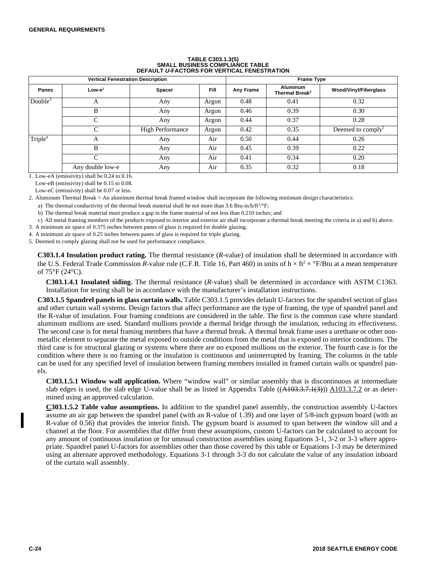| <b>Vertical Fenestration Description</b> |                  |                         |             | <b>Frame Type</b> |                                               |                               |  |
|------------------------------------------|------------------|-------------------------|-------------|-------------------|-----------------------------------------------|-------------------------------|--|
| <b>Panes</b>                             | $Low-e1$         | <b>Spacer</b>           | <b>Fill</b> | Any Frame         | <b>Aluminum</b><br>Thermal Break <sup>2</sup> | Wood/Vinyl/Fiberglass         |  |
| Double $3$                               | А                | Any                     | Argon       | 0.48              | 0.41                                          | 0.32                          |  |
|                                          | B                | Any                     | Argon       | 0.46              | 0.39                                          | 0.30                          |  |
|                                          | $\mathcal{C}$    | Any                     | Argon       | 0.44              | 0.37                                          | 0.28                          |  |
|                                          | $\mathcal{C}$    | <b>High Performance</b> | Argon       | 0.42              | 0.35                                          | Deemed to comply <sup>5</sup> |  |
| Triple <sup>4</sup>                      | А                | Any                     | Air         | 0.50              | 0.44                                          | 0.26                          |  |
|                                          | B                | Any                     | Air         | 0.45              | 0.39                                          | 0.22                          |  |
|                                          |                  | Any                     | Air         | 0.41              | 0.34                                          | 0.20                          |  |
|                                          | Any double low-e | Any                     | Air         | 0.35              | 0.32                                          | 0.18                          |  |

# **TABLE C303.1.3(5) SMALL BUSINESS COMPLIANCE TABLE DEFAULT** *U-***FACTORS FOR VERTICAL FENESTRATION**

1. Low-eA (emissivity) shall be 0.24 to 0.16.

Low-eB (emissivity) shall be 0.15 to 0.08.

Low-eC (emissivity) shall be 0.07 or less.

2. Aluminum Thermal Break = An aluminum thermal break framed window shall incorporate the following minimum design characteristics:

a) The thermal conductivity of the thermal break material shall be not more than 3.6 Btu-in/h/ft<sup>2</sup>/°F;

b) The thermal break material must produce a gap in the frame material of not less than 0.210 inches; and

c) All metal framing members of the products exposed to interior and exterior air shall incorporate a thermal break meeting the criteria in a) and b) above.

3. A minimum air space of 0.375 inches between panes of glass is required for double glazing.

4. A minimum air space of 0.25 inches between panes of glass is required for triple glazing.

5. Deemed to comply glazing shall not be used for performance compliance.

**C303.1.4 Insulation product rating.** The thermal resistance (*R-*value) of insulation shall be determined in accordance with the U.S. Federal Trade Commission *R*-value rule (C.F.R. Title 16, Part 460) in units of  $h \times ft^2 \times \text{P/B}$ tu at a mean temperature of 75°F (24°C).

**C303.1.4.1 Insulated siding.** The thermal resistance (*R-*value) shall be determined in accordance with ASTM C1363. Installation for testing shall be in accordance with the manufacturer's installation instructions.

**C303.1.5 Spandrel panels in glass curtain walls.** Table C303.1.5 provides default U-factors for the spandrel section of glass and other curtain wall systems. Design factors that affect performance are the type of framing, the type of spandrel panel and the R-value of insulation. Four framing conditions are considered in the table. The first is the common case where standard aluminum mullions are used. Standard mullions provide a thermal bridge through the insulation, reducing its effectiveness. The second case is for metal framing members that have a thermal break. A thermal break frame uses a urethane or other nonmetallic element to separate the metal exposed to outside conditions from the metal that is exposed to interior conditions. The third case is for structural glazing or systems where there are no exposed mullions on the exterior. The fourth case is for the condition where there is no framing or the insulation is continuous and uninterrupted by framing. The columns in the table can be used for any specified level of insulation between framing members installed in framed curtain walls or spandrel panels.

**C303.1.5.1 Window wall application.** Where "window wall" or similar assembly that is discontinuous at intermediate slab edges is used, the slab edge U-value shall be as listed in Appendix Table  $((A103.3.7.1(3)))$  A103.3.7.2 or as determined using an approved calculation.

**C303.1.5.2 Table value assumptions.** In addition to the spandrel panel assembly, the construction assembly U-factors assume an air gap between the spandrel panel (with an R-value of 1.39) and one layer of 5/8-inch gypsum board (with an R-value of 0.56) that provides the interior finish. The gypsum board is assumed to span between the window sill and a channel at the floor. For assemblies that differ from these assumptions, custom U-factors can be calculated to account for any amount of continuous insulation or for unusual construction assemblies using Equations 3-1, 3-2 or 3-3 where appropriate. Spandrel panel U-factors for assemblies other than those covered by this table or Equations 1-3 may be determined using an alternate approved methodology. Equations 3-1 through 3-3 do not calculate the value of any insulation inboard of the curtain wall assembly.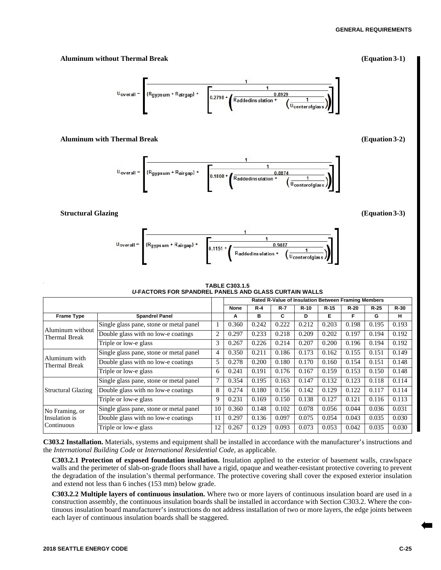#### **GENERAL REQUIREMENTS**

### **Aluminum without Thermal Break (Equation 3-1)**

 $R_{\text{gyps um}} + R_{\text{airgap}} + \begin{bmatrix} 1 & 0 & 0 \\ 0.2798 & 0 & 0 \end{bmatrix}$  $U_{\text{overall}} =$ 0.8929 Raddedinsulation + Ucenterofgl

## **Aluminum with Thermal Break (Equation 3-2)**



## **Structural Glazing (Equation 3-3)**



#### **TABLE C303.1.5** *U-***FACTORS FOR SPANDREL PANELS AND GLASS CURTAIN WALLS**

|                                   |                                         | Rated R-Value of Insulation Between Framing Members |       |       |         |        |        |        |       |        |
|-----------------------------------|-----------------------------------------|-----------------------------------------------------|-------|-------|---------|--------|--------|--------|-------|--------|
|                                   |                                         |                                                     | None  | $R-4$ | $R - 7$ | $R-10$ | $R-15$ | $R-20$ | R-25  | $R-30$ |
| <b>Frame Type</b>                 | <b>Spandrel Panel</b>                   |                                                     | A     | в     | C       | D      | Е      | F      | G     | н      |
|                                   | Single glass pane, stone or metal panel | 1                                                   | 0.360 | 0.242 | 0.222   | 0.212  | 0.203  | 0.198  | 0.195 | 0.193  |
| Aluminum without<br>Thermal Break | Double glass with no low-e coatings     | $\overline{c}$                                      | 0.297 | 0.233 | 0.218   | 0.209  | 0.202  | 0.197  | 0.194 | 0.192  |
|                                   | Triple or low-e glass                   | 3                                                   | 0.267 | 0.226 | 0.214   | 0.207  | 0.200  | 0.196  | 0.194 | 0.192  |
|                                   | Single glass pane, stone or metal panel | 4                                                   | 0.350 | 0.211 | 0.186   | 0.173  | 0.162  | 0.155  | 0.151 | 0.149  |
| Aluminum with<br>Thermal Break    | Double glass with no low-e coatings     | 5                                                   | 0.278 | 0.200 | 0.180   | 0.170  | 0.160  | 0.154  | 0.151 | 0.148  |
|                                   | Triple or low-e glass                   | 6                                                   | 0.241 | 0.191 | 0.176   | 0.167  | 0.159  | 0.153  | 0.150 | 0.148  |
|                                   | Single glass pane, stone or metal panel | $\overline{7}$                                      | 0.354 | 0.195 | 0.163   | 0.147  | 0.132  | 0.123  | 0.118 | 0.114  |
| <b>Structural Glazing</b>         | Double glass with no low-e coatings     | 8                                                   | 0.274 | 0.180 | 0.156   | 0.142  | 0.129  | 0.122  | 0.117 | 0.114  |
|                                   | Triple or low-e glass                   | 9                                                   | 0.231 | 0.169 | 0.150   | 0.138  | 0.127  | 0.121  | 0.116 | 0.113  |
| No Framing, or                    | Single glass pane, stone or metal panel | 10                                                  | 0.360 | 0.148 | 0.102   | 0.078  | 0.056  | 0.044  | 0.036 | 0.031  |
| Insulation is                     | Double glass with no low-e coatings     | 11                                                  | 0.297 | 0.136 | 0.097   | 0.075  | 0.054  | 0.043  | 0.035 | 0.030  |
| Continuous                        | Triple or low-e glass                   | 12                                                  | 0.267 | 0.129 | 0.093   | 0.073  | 0.053  | 0.042  | 0.035 | 0.030  |

**C303.2 Installation.** Materials, systems and equipment shall be installed in accordance with the manufacturer's instructions and the *International Building Code* or *International Residential Code,* as applicable.

**C303.2.1 Protection of exposed foundation insulation.** Insulation applied to the exterior of basement walls, crawlspace walls and the perimeter of slab-on-grade floors shall have a rigid, opaque and weather-resistant protective covering to prevent the degradation of the insulation's thermal performance. The protective covering shall cover the exposed exterior insulation and extend not less than 6 inches (153 mm) below grade.

**C303.2.2 Multiple layers of continuous insulation.** Where two or more layers of continuous insulation board are used in a construction assembly, the continuous insulation boards shall be installed in accordance with Section C303.2. Where the continuous insulation board manufacturer's instructions do not address installation of two or more layers, the edge joints between each layer of continuous insulation boards shall be staggered.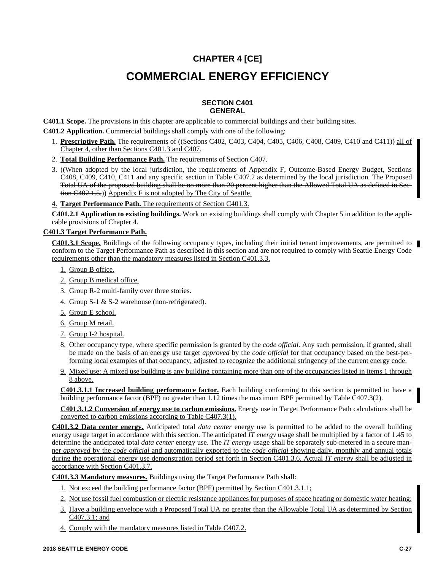# **CHAPTER 4 [CE]**

# **COMMERCIAL ENERGY EFFICIENCY**

#### **SECTION C401 GENERAL**

**C401.1 Scope.** The provisions in this chapter are applicable to commercial buildings and their building sites.

**C401.2 Application.** Commercial buildings shall comply with one of the following:

- 1. **Prescriptive Path.** The requirements of ((Sections C402, C403, C404, C405, C406, C408, C409, C410 and C411)) all of Chapter 4, other than Sections C401.3 and C407.
- 2. **Total Building Performance Path.** The requirements of Section C407.
- 3. ((When adopted by the local jurisdiction, the requirements of Appendix F, Outcome-Based Energy Budget, Sections C408, C409, C410, C411 and any specific section in Table C407.2 as determined by the local jurisdiction. The Proposed Total UA of the proposed building shall be no more than 20 percent higher than the Allowed Total UA as defined in Section C402.1.5.)) Appendix F is not adopted by The City of Seattle.

4. **Target Performance Path.** The requirements of Section C401.3.

**C401.2.1 Application to existing buildings.** Work on existing buildings shall comply with Chapter 5 in addition to the applicable provisions of Chapter 4.

## **C401.3 Target Performance Path.**

**C401.3.1 Scope.** Buildings of the following occupancy types, including their initial tenant improvements, are permitted to conform to the Target Performance Path as described in this section and are not required to comply with Seattle Energy Code requirements other than the mandatory measures listed in Section C401.3.3.

- 1. Group B office.
- 2. Group B medical office.
- 3. Group R-2 multi-family over three stories.
- 4. Group S-1 & S-2 warehouse (non-refrigerated).
- 5. Group E school.
- 6. Group M retail.
- 7. Group I-2 hospital.
- 8. Other occupancy type, where specific permission is granted by the *code official.* Any such permission, if granted, shall be made on the basis of an energy use target *approved* by the *code official* for that occupancy based on the best-performing local examples of that occupancy, adjusted to recognize the additional stringency of the current energy code.
- 9. Mixed use: A mixed use building is any building containing more than one of the occupancies listed in items 1 through 8 above.

**C401.3.1.1 Increased building performance factor.** Each building conforming to this section is permitted to have a building performance factor (BPF) no greater than 1.12 times the maximum BPF permitted by Table C407.3(2).

**C401.3.1.2 Conversion of energy use to carbon emissions.** Energy use in Target Performance Path calculations shall be converted to carbon emissions according to Table C407.3(1).

**C401.3.2 Data center energy.** Anticipated total *data center* energy use is permitted to be added to the overall building energy usage target in accordance with this section. The anticipated *IT energy* usage shall be multiplied by a factor of 1.45 to determine the anticipated total *data center* energy use. The *IT energy* usage shall be separately sub-metered in a secure manner *approved* by the *code official* and automatically exported to the *code official* showing daily, monthly and annual totals during the operational energy use demonstration period set forth in Section C401.3.6. Actual *IT energy* shall be adjusted in accordance with Section C401.3.7.

**C401.3.3 Mandatory measures.** Buildings using the Target Performance Path shall:

- 1. Not exceed the building performance factor (BPF) permitted by Section C401.3.1.1;
- 2. Not use fossil fuel combustion or electric resistance appliances for purposes of space heating or domestic water heating;
- 3. Have a building envelope with a Proposed Total UA no greater than the Allowable Total UA as determined by Section C407.3.1; and
- 4. Comply with the mandatory measures listed in Table C407.2.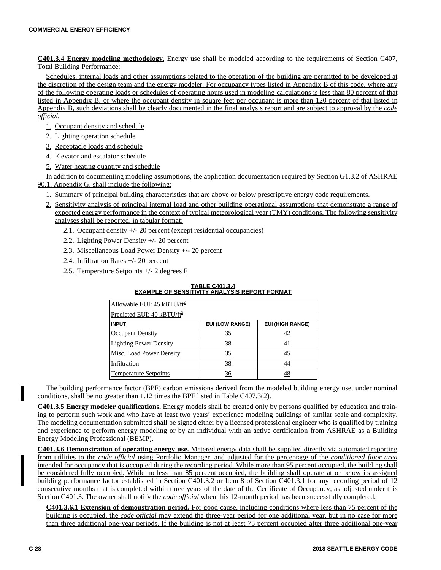**C401.3.4 Energy modeling methodology.** Energy use shall be modeled according to the requirements of Section C407, Total Building Performance:

Schedules, internal loads and other assumptions related to the operation of the building are permitted to be developed at the discretion of the design team and the energy modeler. For occupancy types listed in Appendix B of this code, where any of the following operating loads or schedules of operating hours used in modeling calculations is less than 80 percent of that listed in Appendix B, or where the occupant density in square feet per occupant is more than 120 percent of that listed in Appendix B, such deviations shall be clearly documented in the final analysis report and are subject to approval by the *code official.*

- 1. Occupant density and schedule
- 2. Lighting operation schedule
- 3. Receptacle loads and schedule
- 4. Elevator and escalator schedule
- 5. Water heating quantity and schedule

In addition to documenting modeling assumptions, the application documentation required by Section G1.3.2 of ASHRAE 90.1, Appendix G, shall include the following:

- 1. Summary of principal building characteristics that are above or below prescriptive energy code requirements.
- 2. Sensitivity analysis of principal internal load and other building operational assumptions that demonstrate a range of expected energy performance in the context of typical meteorological year (TMY) conditions. The following sensitivity analyses shall be reported, in tabular format:
	- 2.1. Occupant density +/- 20 percent (except residential occupancies)
	- 2.2. Lighting Power Density +/- 20 percent
	- 2.3. Miscellaneous Load Power Density +/- 20 percent
	- 2.4. Infiltration Rates +/- 20 percent
	- 2.5. Temperature Setpoints +/- 2 degrees F

#### **TABLE C401.3.4 EXAMPLE OF SENSITIVITY ANALYSIS REPORT FORMAT**

| Allowable EUI: 45 kBTU/ft <sup>2</sup> |                        |                         |  |  |  |  |
|----------------------------------------|------------------------|-------------------------|--|--|--|--|
| Predicted EUI: 40 kBTU/ft <sup>2</sup> |                        |                         |  |  |  |  |
| <b>INPUT</b>                           | <b>EUI (LOW RANGE)</b> | <b>EUI (HIGH RANGE)</b> |  |  |  |  |
| <b>Occupant Density</b>                | <u>35</u>              | <u>42</u>               |  |  |  |  |
| <b>Lighting Power Density</b>          | 38                     |                         |  |  |  |  |
| <b>Misc. Load Power Density</b>        | 35                     | <u>45</u>               |  |  |  |  |
| Infiltration                           | 38                     | 44                      |  |  |  |  |
| <b>Temperature Setpoints</b>           | 36                     | 48                      |  |  |  |  |

The building performance factor (BPF) carbon emissions derived from the modeled building energy use, under nominal conditions, shall be no greater than 1.12 times the BPF listed in Table C407.3(2).

**C401.3.5 Energy modeler qualifications.** Energy models shall be created only by persons qualified by education and training to perform such work and who have at least two years' experience modeling buildings of similar scale and complexity. The modeling documentation submitted shall be signed either by a licensed professional engineer who is qualified by training and experience to perform energy modeling or by an individual with an active certification from ASHRAE as a Building Energy Modeling Professional (BEMP).

**C401.3.6 Demonstration of operating energy use.** Metered energy data shall be supplied directly via automated reporting from utilities to the *code official* using Portfolio Manager, and adjusted for the percentage of the *conditioned floor area* intended for occupancy that is occupied during the recording period. While more than 95 percent occupied, the building shall be considered fully occupied. While no less than 85 percent occupied, the building shall operate at or below its assigned building performance factor established in Section C401.3.2 or Item 8 of Section C401.3.1 for any recording period of 12 consecutive months that is completed within three years of the date of the Certificate of Occupancy, as adjusted under this Section C401.3. The owner shall notify the *code official* when this 12-month period has been successfully completed.

**C401.3.6.1 Extension of demonstration period.** For good cause, including conditions where less than 75 percent of the building is occupied, the *code official* may extend the three-year period for one additional year, but in no case for more than three additional one-year periods. If the building is not at least 75 percent occupied after three additional one-year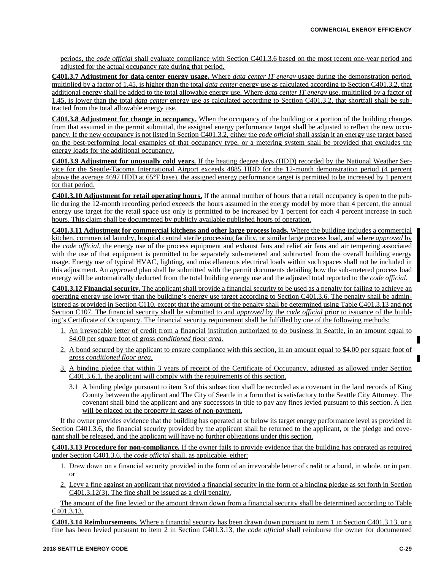periods, the *code official* shall evaluate compliance with Section C401.3.6 based on the most recent one-year period and adjusted for the actual occupancy rate during that period.

**C401.3.7 Adjustment for data center energy usage.** Where *data center IT energy* usage during the demonstration period, multiplied by a factor of 1.45, is higher than the total *data center* energy use as calculated according to Section C401.3.2, that additional energy shall be added to the total allowable energy use. Where *data center IT energy* use, multiplied by a factor of 1.45, is lower than the total *data center* energy use as calculated according to Section C401.3.2, that shortfall shall be subtracted from the total allowable energy use.

**C401.3.8 Adjustment for change in occupancy.** When the occupancy of the building or a portion of the building changes from that assumed in the permit submittal, the assigned energy performance target shall be adjusted to reflect the new occupancy. If the new occupancy is not listed in Section C401.3.2, either the *code official* shall assign it an energy use target based on the best-performing local examples of that occupancy type, or a metering system shall be provided that excludes the energy loads for the additional occupancy.

**C401.3.9 Adjustment for unusually cold years.** If the heating degree days (HDD) recorded by the National Weather Service for the Seattle-Tacoma International Airport exceeds 4885 HDD for the 12-month demonstration period (4 percent above the average 4697 HDD at 65°F base), the assigned energy performance target is permitted to be increased by 1 percent for that period.

**C401.3.10 Adjustment for retail operating hours.** If the annual number of hours that a retail occupancy is open to the public during the 12-month recording period exceeds the hours assumed in the energy model by more than 4 percent, the annual energy use target for the retail space use only is permitted to be increased by 1 percent for each 4 percent increase in such hours. This claim shall be documented by publicly available published hours of operation.

**C401.3.11 Adjustment for commercial kitchens and other large process loads.** Where the building includes a commercial kitchen, commercial laundry, hospital central sterile processing facility, or similar large process load, and where *approved* by the *code official,* the energy use of the process equipment and exhaust fans and relief air fans and air tempering associated with the use of that equipment is permitted to be separately sub-metered and subtracted from the overall building energy usage. Energy use of typical HVAC, lighting, and miscellaneous electrical loads within such spaces shall not be included in this adjustment. An *approved* plan shall be submitted with the permit documents detailing how the sub-metered process load energy will be automatically deducted from the total building energy use and the adjusted total reported to the *code official.*

**C401.3.12 Financial security.** The applicant shall provide a financial security to be used as a penalty for failing to achieve an operating energy use lower than the building's energy use target according to Section C401.3.6. The penalty shall be administered as provided in Section C110, except that the amount of the penalty shall be determined using Table C401.3.13 and not Section C107. The financial security shall be submitted to and *approved* by the *code official* prior to issuance of the building's Certificate of Occupancy. The financial security requirement shall be fulfilled by one of the following methods:

- 1. An irrevocable letter of credit from a financial institution authorized to do business in Seattle, in an amount equal to \$4.00 per square foot of gross *conditioned floor area.*
- 2. A bond secured by the applicant to ensure compliance with this section, in an amount equal to \$4.00 per square foot of gross *conditioned floor area.*
- 3. A binding pledge that within 3 years of receipt of the Certificate of Occupancy, adjusted as allowed under Section C401.3.6.1, the applicant will comply with the requirements of this section.
	- 3.1 A binding pledge pursuant to item 3 of this subsection shall be recorded as a covenant in the land records of King County between the applicant and The City of Seattle in a form that is satisfactory to the Seattle City Attorney. The covenant shall bind the applicant and any successors in title to pay any fines levied pursuant to this section. A lien will be placed on the property in cases of non-payment.

If the owner provides evidence that the building has operated at or below its target energy performance level as provided in Section C401.3.6, the financial security provided by the applicant shall be returned to the applicant, or the pledge and covenant shall be released, and the applicant will have no further obligations under this section.

**C401.3.13 Procedure for non-compliance.** If the owner fails to provide evidence that the building has operated as required under Section C401.3.6, the *code official* shall, as applicable, either:

- 1. Draw down on a financial security provided in the form of an irrevocable letter of credit or a bond, in whole, or in part, or
- 2. Levy a fine against an applicant that provided a financial security in the form of a binding pledge as set forth in Section C401.3.12(3). The fine shall be issued as a civil penalty.

The amount of the fine levied or the amount drawn down from a financial security shall be determined according to Table C401.3.13.

**C401.3.14 Reimbursements.** Where a financial security has been drawn down pursuant to item 1 in Section C401.3.13, or a fine has been levied pursuant to item 2 in Section C401.3.13, the *code official* shall reimburse the owner for documented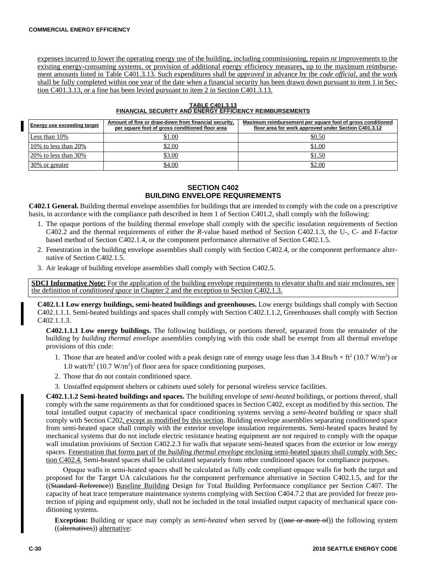expenses incurred to lower the operating energy use of the building, including commissioning, repairs or improvements to the existing energy-consuming systems, or provision of additional energy efficiency measures, up to the maximum reimbursement amounts listed in Table C401.3.13. Such expenditures shall be *approved* in advance by the *code official,* and the work shall be fully completed within one year of the date when a financial security has been drawn down pursuant to item 1 in Section C401.3.13, or a fine has been levied pursuant to item 2 in Section C401.3.13.

| Energy use exceeding target | Amount of fine or draw-down from financial security.<br>per square foot of gross conditioned floor area | Maximum reimbursement per square foot of gross conditioned<br>floor area for work approved under Section C401.3.12 |
|-----------------------------|---------------------------------------------------------------------------------------------------------|--------------------------------------------------------------------------------------------------------------------|
| Less than 10%               | \$1.00                                                                                                  | \$0.50                                                                                                             |
| 10\% to less than $20\%$    | \$2.00                                                                                                  | \$1.00                                                                                                             |
| $20\%$ to less than $30\%$  | \$3.00                                                                                                  | \$1.50                                                                                                             |
| 30% or greater              | \$4.00                                                                                                  | \$2.00                                                                                                             |

#### **TABLE C401.3.13 FINANCIAL SECURITY AND ENERGY EFFICIENCY REIMBURSEMENTS**

## **SECTION C402 BUILDING ENVELOPE REQUIREMENTS**

**C402.1 General.** Building thermal envelope assemblies for buildings that are intended to comply with the code on a prescriptive basis, in accordance with the compliance path described in Item 1 of Section C401.2, shall comply with the following:

- 1. The opaque portions of the building thermal envelope shall comply with the specific insulation requirements of Section C402.2 and the thermal requirements of either the *R-*value based method of Section C402.1.3, the U-, C- and F-factor based method of Section C402.1.4, or the component performance alternative of Section C402.1.5.
- 2. Fenestration in the building envelope assemblies shall comply with Section C402.4, or the component performance alternative of Section C402.1.5.
- 3. Air leakage of building envelope assemblies shall comply with Section C402.5.

**SDCI Informative Note:** For the application of the building envelope requirements to elevator shafts and stair enclosures, see the definition of *conditioned space* in Chapter 2 and the exception to Section C402.1.3.

**C402.1.1 Low energy buildings, semi-heated buildings and greenhouses.** Low energy buildings shall comply with Section C402.1.1.1. Semi-heated buildings and spaces shall comply with Section C402.1.1.2, Greenhouses shall comply with Section C402.1.1.3.

**C402.1.1.1 Low energy buildings.** The following buildings, or portions thereof, separated from the remainder of the building by *building thermal envelope* assemblies complying with this code shall be exempt from all thermal envelope provisions of this code:

- 1. Those that are heated and/or cooled with a peak design rate of energy usage less than 3.4 Btu/h  $\times$  ft<sup>2</sup> (10.7 W/m<sup>2</sup>) or 1.0 watt/ft<sup>2</sup> (10.7 W/m<sup>2</sup>) of floor area for space conditioning purposes.
- 2. Those that do not contain conditioned space.
- 3. Unstaffed equipment shelters or cabinets used solely for personal wireless service facilities.

**C402.1.1.2 Semi-heated buildings and spaces.** The building envelope of *semi-heated* buildings, or portions thereof, shall comply with the same requirements as that for conditioned spaces in Section C402, except as modified by this section. The total installed output capacity of mechanical space conditioning systems serving a *semi-heated* building or space shall comply with Section C202, except as modified by this section. Building envelope assemblies separating conditioned space from semi-heated space shall comply with the exterior envelope insulation requirements. Semi-heated spaces heated by mechanical systems that do not include electric resistance heating equipment are not required to comply with the opaque wall insulation provisions of Section C402.2.3 for walls that separate semi-heated spaces from the exterior or low energy spaces. Fenestration that forms part of the *building thermal envelope* enclosing semi-heated spaces shall comply with Section C402.4. Semi-heated spaces shall be calculated separately from other conditioned spaces for compliance purposes.

Opaque walls in semi-heated spaces shall be calculated as fully code compliant opaque walls for both the target and proposed for the Target UA calculations for the component performance alternative in Section C402.1.5, and for the ((Standard Reference)) Baseline Building Design for Total Building Performance compliance per Section C407. The capacity of heat trace temperature maintenance systems complying with Section C404.7.2 that are provided for freeze protection of piping and equipment only, shall not be included in the total installed output capacity of mechanical space conditioning systems.

**Exception:** Building or space may comply as *semi-heated* when served by ((one or more of)) the following system ((alternatives)) alternative: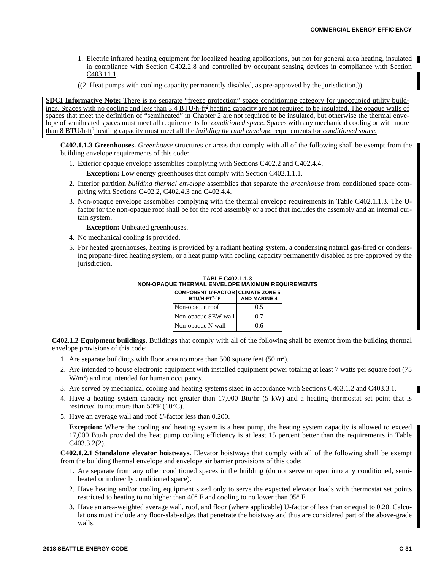- 1. Electric infrared heating equipment for localized heating applications, but not for general area heating, insulated in compliance with Section C402.2.8 and controlled by occupant sensing devices in compliance with Section C403.11.1.
- $((2.$  Heat pumps with cooling capacity permanently disabled, as pre-approved by the jurisdiction.)

**SDCI Informative Note:** There is no separate "freeze protection" space conditioning category for unoccupied utility buildings. Spaces with no cooling and less than 3.4 BTU/h-ft<sup>2</sup> heating capacity are not required to be insulated. The opaque walls of spaces that meet the definition of "semiheated" in Chapter 2 are not required to be insulated, but otherwise the thermal envelope of semiheated spaces must meet all requirements for *conditioned space.* Spaces with any mechanical cooling or with more than 8 BTU/h-ft<sup>2</sup> heating capacity must meet all the *building thermal envelope* requirements for *conditioned space*.

**C402.1.1.3 Greenhouses.** *Greenhouse* structures or areas that comply with all of the following shall be exempt from the building envelope requirements of this code:

1. Exterior opaque envelope assemblies complying with Sections C402.2 and C402.4.4.

**Exception:** Low energy greenhouses that comply with Section C402.1.1.1.

- 2. Interior partition *building thermal envelope* assemblies that separate the *greenhouse* from conditioned space complying with Sections C402.2, C402.4.3 and C402.4.4.
- 3. Non-opaque envelope assemblies complying with the thermal envelope requirements in Table C402.1.1.3. The Ufactor for the non-opaque roof shall be for the roof assembly or a roof that includes the assembly and an internal curtain system.

**Exception:** Unheated greenhouses.

- 4. No mechanical cooling is provided.
- 5. For heated greenhouses, heating is provided by a radiant heating system, a condensing natural gas-fired or condensing propane-fired heating system, or a heat pump with cooling capacity permanently disabled as pre-approved by the jurisdiction.

| <b>TABLE C402.1.1.3</b>                          |  |  |  |  |  |  |
|--------------------------------------------------|--|--|--|--|--|--|
| NON-OPAQUE THERMAL ENVELOPE MAXIMUM REQUIREMENTS |  |  |  |  |  |  |

| COMPONENT U-FACTOR CLIMATE ZONE 5<br>BTU/H-FT <sup>2</sup> -°F | <b>AND MARINE 4</b> |
|----------------------------------------------------------------|---------------------|
| Non-opaque roof                                                | 0.5                 |
| Non-opaque SEW wall                                            | 0.7                 |
| Non-opaque N wall                                              | 0.6                 |

**C402.1.2 Equipment buildings.** Buildings that comply with all of the following shall be exempt from the building thermal envelope provisions of this code:

- 1. Are separate buildings with floor area no more than 500 square feet  $(50 \text{ m}^2)$ .
- 2. Are intended to house electronic equipment with installed equipment power totaling at least 7 watts per square foot (75  $W/m<sup>2</sup>$ ) and not intended for human occupancy.
- 3. Are served by mechanical cooling and heating systems sized in accordance with Sections C403.1.2 and C403.3.1.
- 4. Have a heating system capacity not greater than 17,000 Btu/hr (5 kW) and a heating thermostat set point that is restricted to not more than  $50^{\circ}$ F (10 $^{\circ}$ C).
- 5. Have an average wall and roof *U-*factor less than 0.200.

**Exception:** Where the cooling and heating system is a heat pump, the heating system capacity is allowed to exceed 17,000 Btu/h provided the heat pump cooling efficiency is at least 15 percent better than the requirements in Table C403.3.2(2).

**C402.1.2.1 Standalone elevator hoistways.** Elevator hoistways that comply with all of the following shall be exempt from the building thermal envelope and envelope air barrier provisions of this code:

- 1. Are separate from any other conditioned spaces in the building (do not serve or open into any conditioned, semiheated or indirectly conditioned space).
- 2. Have heating and/or cooling equipment sized only to serve the expected elevator loads with thermostat set points restricted to heating to no higher than 40° F and cooling to no lower than 95° F.
- 3. Have an area-weighted average wall, roof, and floor (where applicable) U-factor of less than or equal to 0.20. Calculations must include any floor-slab-edges that penetrate the hoistway and thus are considered part of the above-grade walls.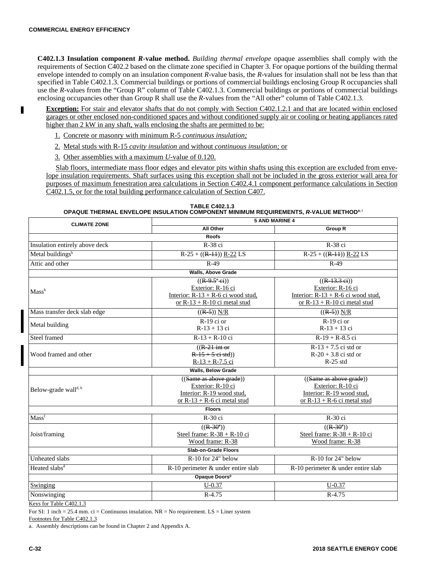п

**C402.1.3 Insulation component** *R-***value method.** *Building thermal envelope* opaque assemblies shall comply with the requirements of Section C402.2 based on the climate zone specified in Chapter 3. For opaque portions of the building thermal envelope intended to comply on an insulation component *R-*value basis, the *R-*values for insulation shall not be less than that specified in Table C402.1.3. Commercial buildings or portions of commercial buildings enclosing Group R occupancies shall use the *R-*values from the "Group R" column of Table C402.1.3. Commercial buildings or portions of commercial buildings enclosing occupancies other than Group R shall use the *R*-values from the "All other" column of Table C402.1.3.

**Exception:** For stair and elevator shafts that do not comply with Section C402.1.2.1 and that are located within enclosed garages or other enclosed non-conditioned spaces and without conditioned supply air or cooling or heating appliances rated higher than 2 kW in any shaft, walls enclosing the shafts are permitted to be:

- 1. Concrete or masonry with minimum R-5 *continuous insulation;*
- 2. Metal studs with R-15 *cavity insulation* and without *continuous insulation;* or
- 3. Other assemblies with a maximum *U-*value of 0.120.

Slab floors, intermediate mass floor edges and elevator pits within shafts using this exception are excluded from envelope insulation requirements. Shaft surfaces using this exception shall not be included in the gross exterior wall area for purposes of maximum fenestration area calculations in Section C402.4.1 component performance calculations in Section C402.1.5, or for the total building performance calculation of Section C407.

**TABLE C402.1.3 OPAQUE THERMAL ENVELOPE INSULATION COMPONENT MINIMUM REQUIREMENTS,** *R-***VALUE METHODa, i**

| <b>CLIMATE ZONE</b>                 | <b>5 AND MARINE 4</b>                                                                                                       |                                                                                                            |  |  |  |  |  |  |
|-------------------------------------|-----------------------------------------------------------------------------------------------------------------------------|------------------------------------------------------------------------------------------------------------|--|--|--|--|--|--|
|                                     | All Other                                                                                                                   | <b>Group R</b>                                                                                             |  |  |  |  |  |  |
|                                     | <b>Roofs</b>                                                                                                                |                                                                                                            |  |  |  |  |  |  |
| Insulation entirely above deck      | R-38 ci                                                                                                                     | R-38 ci                                                                                                    |  |  |  |  |  |  |
| Metal buildings <sup>b</sup>        | $R-25 + ((R-11)) R-22 LS$                                                                                                   | $R-25 + ((R-11)) R-22 LS$                                                                                  |  |  |  |  |  |  |
| Attic and other                     | $R-49$                                                                                                                      | $R-49$                                                                                                     |  |  |  |  |  |  |
|                                     | <b>Walls, Above Grade</b>                                                                                                   |                                                                                                            |  |  |  |  |  |  |
|                                     | $((R-9.5^{e}ei))$<br>Exterior: R-16 ci                                                                                      | $((R-13.3 \text{ ei}))$<br>Exterior: R-16 ci                                                               |  |  |  |  |  |  |
| Mass <sup>h</sup>                   | Interior: $R-13 + R-6$ ci wood stud,<br>or $R-13 + R-10$ ci metal stud                                                      | Interior: $R-13 + R-6$ ci wood stud,<br>or $R-13 + R-10$ ci metal stud                                     |  |  |  |  |  |  |
| Mass transfer deck slab edge        | $((R-5))$ N/R                                                                                                               | $((R-5))$ N/R                                                                                              |  |  |  |  |  |  |
| Metal building                      | $R-19$ ci or<br>$R-13 + 13$ ci                                                                                              | $R-19$ ci or<br>$R-13 + 13$ ci                                                                             |  |  |  |  |  |  |
| Steel framed                        | $R-13 + R-10$ ci                                                                                                            | $R-19 + R-8.5$ ci                                                                                          |  |  |  |  |  |  |
| Wood framed and other               | $((R-2)$ int or<br>$R-15+5$ ei std)<br>$R-13 + R-7.5$ ci                                                                    | $R-13 + 7.5$ ci std or<br>$R-20 + 3.8$ ci std or<br>$R-25$ std                                             |  |  |  |  |  |  |
|                                     | <b>Walls, Below Grade</b>                                                                                                   |                                                                                                            |  |  |  |  |  |  |
| Below-grade wall <sup>d, h</sup>    | ((Same as above grade))<br>Exterior: R-10 ci<br>Interior: R-19 wood stud,<br>or $R-13 + R-6$ ci metal stud<br><b>Floors</b> | ((Same as above grade))<br>Exterior: R-10 ci<br>Interior: R-19 wood stud,<br>or $R-13 + R-6$ ci metal stud |  |  |  |  |  |  |
| Mass <sup>f</sup>                   | R-30 ci                                                                                                                     | R-30 ci                                                                                                    |  |  |  |  |  |  |
| Joist/framing                       | $((R-30^e))$<br>Steel frame: $R-38 + R-10$ ci<br>Wood frame: R-38                                                           | $((R-30^e))$<br>Steel frame: $R-38 + R-10$ ci<br>Wood frame: R-38                                          |  |  |  |  |  |  |
|                                     | Slab-on-Grade Floors                                                                                                        |                                                                                                            |  |  |  |  |  |  |
| <b>Unheated</b> slabs               | $R-10$ for 24" below                                                                                                        | R-10 for 24" below                                                                                         |  |  |  |  |  |  |
| Heated slabs <sup>d</sup>           | R-10 perimeter & under entire slab                                                                                          | R-10 perimeter & under entire slab                                                                         |  |  |  |  |  |  |
|                                     | Opaque Doors <sup>9</sup>                                                                                                   |                                                                                                            |  |  |  |  |  |  |
| <b>Swinging</b>                     | $U - 0.37$                                                                                                                  | $U - 0.37$                                                                                                 |  |  |  |  |  |  |
| $R-4.75$<br>$R-4.75$<br>Nonswinging |                                                                                                                             |                                                                                                            |  |  |  |  |  |  |

Keys for Table C402.1.3

For SI: 1 inch = 25.4 mm. ci = Continuous insulation. NR = No requirement. LS = Liner system

Footnotes for Table C402.1.3

a. Assembly descriptions can be found in Chapter 2 and Appendix A.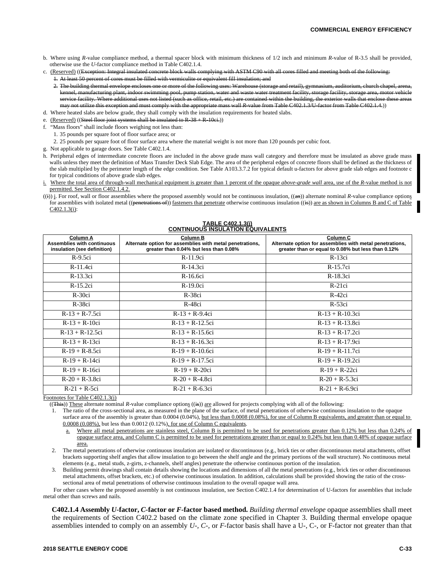- b. Where using *R-*value compliance method, a thermal spacer block with minimum thickness of 1/2 inch and minimum *R-*value of R-3.5 shall be provided, otherwise use the *U-*factor compliance method in Table C402.1.4.
- c. (Reserved) ((Exception: Integral insulated concrete block walls complying with ASTM C90 with all cores filled and meeting both of the
	- 1. At least 50 percent of cores must be filled with vermiculite or equivalent fill insulation; and
	- 2. The building thermal envelope encloses one or more of the following uses: Warehouse (storage and retail), gymnasium, auditorium cturing plant, indoor swimming pool, pump station, water and waste water treatment facility, storage facility, service facility. Where additional uses not listed (such as office, retail, etc.) are contained within the building, the exterior walls that enclose the may not utilize this exception and must comply with the appropriate mass wall *R-*value from Table C402.1.3/U-factor from Table C402.1.4.))
- d. Where heated slabs are below grade, they shall comply with the insulation requirements for heated slabs.
- e. (Reserved) ((Steel floor joist systems shall be insulated to  $R-38 + R-10c$ i.))
- f. "Mass floors" shall include floors weighing not less than:
	- 1. 35 pounds per square foot of floor surface area; or
	- 2. 25 pounds per square foot of floor surface area where the material weight is not more than 120 pounds per cubic foot.
- g. Not applicable to garage doors. See Table C402.1.4.
- h. Peripheral edges of intermediate concrete floors are included in the above grade mass wall category and therefore must be insulated as above grade mass walls unless they meet the definition of Mass Transfer Deck Slab Edge. The area of the peripheral edges of concrete floors shall be defined as the thickness of the slab multiplied by the perimeter length of the edge condition. See Table A103.3.7.2 for typical default u-factors for above grade slab edges and footnote c for typical conditions of above grade slab edges.
- i. Where the total area of through-wall mechanical equipment is greater than 1 percent of the opaque *above-grade wall* area, use of the *R-*value method is not permitted. See Section C402.1.4.2.
- $((i))$  j. For roof, wall or floor assemblies where the proposed assembly would not be continuous insulation,  $((ii))$  alternate nominal *R*-value compliance options for assemblies with isolated metal ((penetrations of)) fasteners that penetrate otherwise continuous insulation  $((\mathbf{is}))$  are as shown in Columns B and C of Table C402.1.3(i):

#### **TABLE C402.1.3(j) CONTINUOUS INSULATION EQUIVALENTS**

| Column A<br><b>Assemblies with continuous</b><br>insulation (see definition) | <b>Column B</b><br>Alternate option for assemblies with metal penetrations,<br>greater than 0.04% but less than 0.08% | Column C<br>Alternate option for assemblies with metal penetrations,<br>greater than or equal to 0.08% but less than 0.12% |
|------------------------------------------------------------------------------|-----------------------------------------------------------------------------------------------------------------------|----------------------------------------------------------------------------------------------------------------------------|
| $R-9.5ci$                                                                    | $R-11.9ci$                                                                                                            | $R-13ci$                                                                                                                   |
| R-11.4ci                                                                     | $R-14.3ci$                                                                                                            | R-15.7ci                                                                                                                   |
| R-13.3ci                                                                     | R-16.6ci                                                                                                              | R-18.3ci                                                                                                                   |
| $R-15.2ci$                                                                   | $R-19.0ci$                                                                                                            | $R-21ci$                                                                                                                   |
| $R-30ci$                                                                     | $R-38ci$                                                                                                              | $R-42ci$                                                                                                                   |
| $R-38ci$                                                                     | R-48ci                                                                                                                | $R-53ci$                                                                                                                   |
| $R-13 + R-7.5ci$                                                             | $R-13 + R-9.4ci$                                                                                                      | $R-13 + R-10.3c$ i                                                                                                         |
| $R-13 + R-10ci$                                                              | $R-13 + R-12.5ci$                                                                                                     | $R-13 + R-13.8ci$                                                                                                          |
| $R-13 + R-12.5ci$                                                            | $R-13 + R-15.6ci$                                                                                                     | $R-13 + R-17.2ci$                                                                                                          |
| $R-13 + R-13ci$                                                              | $R-13 + R-16.3ci$                                                                                                     | $R-13 + R-17.9ci$                                                                                                          |
| $R-19 + R-8.5ci$                                                             | $R-19 + R-10.6ci$                                                                                                     | $R-19 + R-11.7ci$                                                                                                          |
| $R-19 + R-14ci$                                                              | $R-19 + R-17.5ci$                                                                                                     | $R-19 + R-19.2ci$                                                                                                          |
| $R-19 + R-16ci$                                                              | $R-19 + R-20ci$                                                                                                       | $R-19 + R-22ci$                                                                                                            |
| $R-20 + R-3.8ci$                                                             | $R-20 + R-4.8ci$                                                                                                      | $R-20 + R-5.3ci$                                                                                                           |
| $R-21 + R-5ci$                                                               | $R-21 + R-6.3ci$                                                                                                      | $R-21 + R-6.9ci$                                                                                                           |

Footnotes for Table C402.1.3(j)

((This)) These alternate nominal *R-*value compliance options ((is)) are allowed for projects complying with all of the following:

- 1. The ratio of the cross-sectional area, as measured in the plane of the surface, of metal penetrations of otherwise continuous insulation to the opaque surface area of the assembly is greater than 0.0004 (0.04%), but less than 0.0008 (0.08%), for use of Column B equivalents, and greater than or equal to 0.0008 (0.08%), but less than 0.0012 (0.12%), for use of Column C equivalents.
	- Where all metal penetrations are stainless steel, Column B is permitted to be used for penetrations greater than 0.12% but less than 0.24% of opaque surface area, and Column C is permitted to be used for penetrations greater than or equal to 0.24% but less than 0.48% of opaque surface area.
- 2. The metal penetrations of otherwise continuous insulation are isolated or discontinuous (e.g., brick ties or other discontinuous metal attachments, offset brackets supporting shelf angles that allow insulation to go between the shelf angle and the primary portions of the wall structure). No continuous metal elements (e.g., metal studs, z-girts, z-channels, shelf angles) penetrate the otherwise continuous portion of the insulation.

3. Building permit drawings shall contain details showing the locations and dimensions of all the metal penetrations (e.g., brick ties or other discontinuous metal attachments, offset brackets, etc.) of otherwise continuous insulation. In addition, calculations shall be provided showing the ratio of the crosssectional area of metal penetrations of otherwise continuous insulation to the overall opaque wall area.

For other cases where the proposed assembly is not continuous insulation, see Section C402.1.4 for determination of U-factors for assemblies that include metal other than screws and nails.

**C402.1.4 Assembly** *U-***factor,** *C-***factor or** *F-***factor based method.** *Building thermal envelope* opaque assemblies shall meet the requirements of Section C402.2 based on the climate zone specified in Chapter 3. Building thermal envelope opaque assemblies intended to comply on an assembly *U-, C-,* or *F-*factor basis shall have a U-, C-, or F-factor not greater than that